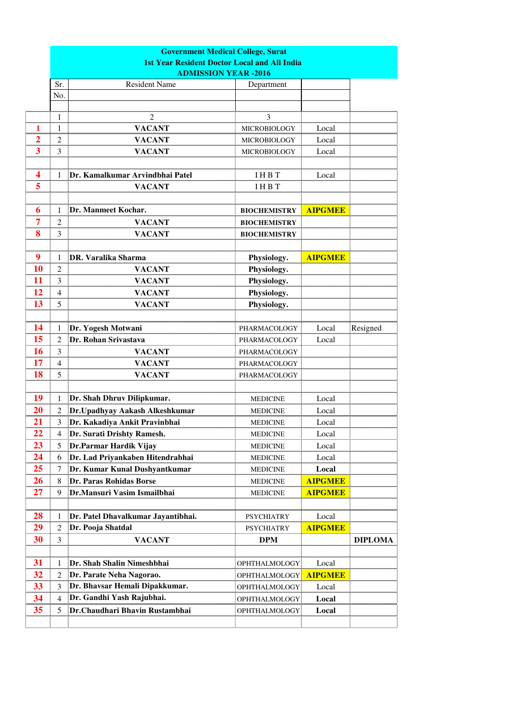|           |                | <b>Government Medical College, Surat</b><br><b>1st Year Resident Doctor Local and All India</b><br><b>ADMISSION YEAR -2016</b> |                                    |                |                |  |
|-----------|----------------|--------------------------------------------------------------------------------------------------------------------------------|------------------------------------|----------------|----------------|--|
|           | Sr.            | <b>Resident Name</b>                                                                                                           | Department                         |                |                |  |
|           | No.            |                                                                                                                                |                                    |                |                |  |
|           |                |                                                                                                                                |                                    |                |                |  |
|           |                |                                                                                                                                | 3                                  |                |                |  |
|           |                | <b>VACANT</b>                                                                                                                  | <b>MICROBIOLOGY</b>                | Local          |                |  |
|           | 2              | <b>VACANT</b>                                                                                                                  | MICROBIOLOGY                       | Local          |                |  |
| 3         | 3              | <b>VACANT</b>                                                                                                                  | <b>MICROBIOLOGY</b>                | Local          |                |  |
|           |                |                                                                                                                                |                                    |                |                |  |
|           |                | Dr. Kamalkumar Arvindbhai Patel                                                                                                | <b>IHBT</b>                        | Local          |                |  |
| 5         |                | <b>VACANT</b>                                                                                                                  | <b>IHBT</b>                        |                |                |  |
| h         |                | Dr. Manmeet Kochar.                                                                                                            | <b>BIOCHEMISTRY</b>                | <b>AIPGMEE</b> |                |  |
| 7         | $\overline{2}$ | <b>VACANT</b>                                                                                                                  | <b>BIOCHEMISTRY</b>                |                |                |  |
| 8         | 3              | <b>VACANT</b>                                                                                                                  | <b>BIOCHEMISTRY</b>                |                |                |  |
|           |                |                                                                                                                                |                                    |                |                |  |
| 9         |                | <b>DR. Varalika Sharma</b>                                                                                                     | Physiology.                        | <b>AIPGMEE</b> |                |  |
|           | 2              | <b>VACANT</b>                                                                                                                  | Physiology.                        |                |                |  |
|           | 3              | <b>VACANT</b>                                                                                                                  | Physiology.                        |                |                |  |
| 12        | 4              | <b>VACANT</b>                                                                                                                  | Physiology.                        |                |                |  |
| 13        | 5              | <b>VACANT</b>                                                                                                                  | Physiology.                        |                |                |  |
|           |                |                                                                                                                                |                                    |                |                |  |
| 14        |                | Dr. Yogesh Motwani                                                                                                             | PHARMACOLOGY                       | Local          | Resigned       |  |
| 15        | $\overline{2}$ | Dr. Rohan Srivastava                                                                                                           | PHARMACOLOGY                       | Local          |                |  |
| <b>16</b> | 3              | <b>VACANT</b>                                                                                                                  | PHARMACOLOGY                       |                |                |  |
| 17        | 4              | <b>VACANT</b>                                                                                                                  | PHARMACOLOGY                       |                |                |  |
| 18        | 5              | <b>VACANT</b>                                                                                                                  | PHARMACOLOGY                       |                |                |  |
| 19        |                | Dr. Shah Dhruv Dilipkumar.                                                                                                     |                                    | Local          |                |  |
| 20        |                |                                                                                                                                | <b>MEDICINE</b>                    | Local          |                |  |
| 21        | 3              | Dr.Upadhyay Aakash Alkeshkumar                                                                                                 | <b>MEDICINE</b>                    | Local          |                |  |
| 22        | $\overline{4}$ | Dr. Kakadiya Ankit Pravinbhai<br>Dr. Surati Drishty Ramesh.                                                                    | <b>MEDICINE</b><br><b>MEDICINE</b> | Local          |                |  |
| 23        | 5              | Dr.Parmar Hardik Vijay                                                                                                         | <b>MEDICINE</b>                    | Local          |                |  |
| 24        | 6              | Dr. Lad Priyankaben Hitendrabhai                                                                                               | <b>MEDICINE</b>                    | Local          |                |  |
| 25        | 7              | Dr. Kumar Kunal Dushyantkumar                                                                                                  | <b>MEDICINE</b>                    | Local          |                |  |
| 26        | 8              | <b>Dr. Paras Rohidas Borse</b>                                                                                                 | <b>MEDICINE</b>                    | <b>AIPGMEE</b> |                |  |
| 27        | 9              | Dr.Mansuri Vasim Ismailbhai                                                                                                    | <b>MEDICINE</b>                    | <b>AIPGMEE</b> |                |  |
|           |                |                                                                                                                                |                                    |                |                |  |
| 28        |                | Dr. Patel Dhavalkumar Jayantibhai.                                                                                             | <b>PSYCHIATRY</b>                  | Local          |                |  |
| 29        | $\overline{2}$ | Dr. Pooja Shatdal                                                                                                              | <b>PSYCHIATRY</b>                  | <b>AIPGMEE</b> |                |  |
| 30        | 3              | <b>VACANT</b>                                                                                                                  | <b>DPM</b>                         |                | <b>DIPLOMA</b> |  |
|           |                |                                                                                                                                |                                    |                |                |  |
| 31        |                | Dr. Shah Shalin Nimeshbhai                                                                                                     | <b>OPHTHALMOLOGY</b>               | Local          |                |  |
| 32        | $\overline{2}$ | Dr. Parate Neha Nagorao.                                                                                                       | OPHTHALMOLOGY <b>AIPGMEE</b>       |                |                |  |
| 33        | 3              | Dr. Bhavsar Hemali Dipakkumar.                                                                                                 | <b>OPHTHALMOLOGY</b>               | Local          |                |  |
| 34        | $\overline{4}$ | Dr. Gandhi Yash Rajubhai.                                                                                                      | <b>OPHTHALMOLOGY</b>               | Local          |                |  |
| 35        | 5              | Dr.Chaudhari Bhavin Rustambhai                                                                                                 | <b>OPHTHALMOLOGY</b>               | Local          |                |  |
|           |                |                                                                                                                                |                                    |                |                |  |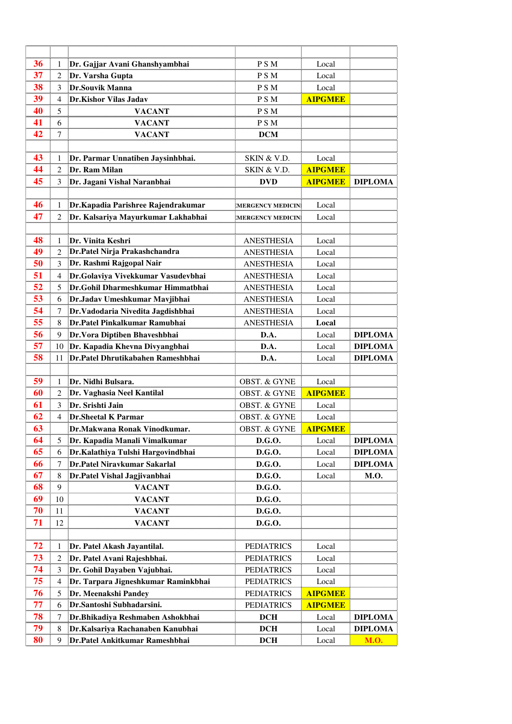| 36       |                | Dr. Gajjar Avani Ghanshyambhai                                     | P S M                    | Local          |                |
|----------|----------------|--------------------------------------------------------------------|--------------------------|----------------|----------------|
| 37       | 2              | Dr. Varsha Gupta                                                   | P S M                    | Local          |                |
| 38       | 3              | <b>Dr.Souvik Manna</b>                                             | PSM                      | Local          |                |
| 39       |                | <b>Dr.Kishor Vilas Jadav</b>                                       | P S M                    | <b>AIPGMEE</b> |                |
| 40       | 5              | <b>VACANT</b>                                                      | P S M                    |                |                |
| 41       | 6              | <b>VACANT</b>                                                      | P S M                    |                |                |
| 42       | 7              | <b>VACANT</b>                                                      | <b>DCM</b>               |                |                |
|          |                |                                                                    |                          |                |                |
| 43       |                | Dr. Parmar Unnatiben Jaysinhbhai.                                  | SKIN & V.D.              | Local          |                |
| 44       | 2              | Dr. Ram Milan                                                      | SKIN & V.D.              | <b>AIPGMEE</b> |                |
| 45       | 3              | Dr. Jagani Vishal Naranbhai                                        | <b>DVD</b>               | <b>AIPGMEE</b> | <b>DIPLOMA</b> |
|          |                |                                                                    |                          |                |                |
| 46       |                | Dr. Kapadia Parishree Rajendrakumar                                | MERGENCY MEDICINI        | Local          |                |
| 47       | 2              | Dr. Kalsariya Mayurkumar Lakhabhai                                 | MERGENCY MEDICINI        | Local          |                |
|          |                |                                                                    |                          |                |                |
| 48       |                | Dr. Vinita Keshri                                                  | <b>ANESTHESIA</b>        | Local          |                |
| 49       | $\overline{2}$ | Dr.Patel Nirja Prakashchandra                                      | <b>ANESTHESIA</b>        | Local          |                |
| 50       | 3              | Dr. Rashmi Rajgopal Nair                                           | <b>ANESTHESIA</b>        | Local          |                |
| 51       | $\overline{4}$ | Dr.Golaviya Vivekkumar Vasudevbhai                                 | <b>ANESTHESIA</b>        | Local          |                |
| 52       | 5              | Dr.Gohil Dharmeshkumar Himmatbhai                                  | <b>ANESTHESIA</b>        | Local          |                |
| 53       | 6              | Dr.Jadav Umeshkumar Mavjibhai                                      | <b>ANESTHESIA</b>        | Local          |                |
| 54       | 7              | Dr.Vadodaria Nivedita Jagdishbhai                                  | <b>ANESTHESIA</b>        | Local          |                |
| 55       | 8              | Dr.Patel Pinkalkumar Ramubhai                                      | <b>ANESTHESIA</b>        | Local          |                |
| 56       | 9              | Dr. Vora Diptiben Bhaveshbhai                                      | D.A.                     | Local          | <b>DIPLOMA</b> |
| 57       | 10             | Dr. Kapadia Khevna Divyangbhai                                     | D.A.                     | Local          | <b>DIPLOMA</b> |
| 58       |                | Dr.Patel Dhrutikabahen Rameshbhai                                  | D.A.                     | Local          | <b>DIPLOMA</b> |
|          |                |                                                                    |                          |                |                |
| 59       |                | Dr. Nidhi Bulsara.                                                 | <b>OBST. &amp; GYNE</b>  | Local          |                |
| 60       |                | Dr. Vaghasia Neel Kantilal                                         | <b>OBST. &amp; GYNE</b>  | <b>AIPGMEE</b> |                |
| 61       | 3              | Dr. Srishti Jain                                                   | <b>OBST. &amp; GYNE</b>  | Local          |                |
| 62       | $\overline{4}$ | <b>Dr.Sheetal K Parmar</b>                                         | <b>OBST. &amp; GYNE</b>  | Local          |                |
| 63       |                | Dr.Makwana Ronak Vinodkumar.                                       | <b>OBST. &amp; GYNE</b>  | <b>AIPGMEE</b> |                |
| 64       | 5              | Dr. Kapadia Manali Vimalkumar                                      | <b>D.G.O.</b>            | Local          | <b>DIPLOMA</b> |
| 65       | 6              | Dr.Kalathiya Tulshi Hargovindbhai                                  | D.G.O.                   | Local          | <b>DIPLOMA</b> |
| 66       |                | Dr.Patel Niravkumar Sakarlal                                       | <b>D.G.O.</b>            | Local          | <b>DIPLOMA</b> |
| 67       | 8              | Dr.Patel Vishal Jagjivanbhai                                       | <b>D.G.O.</b>            | Local          | <b>M.O.</b>    |
| 68       | 9              | <b>VACANT</b>                                                      | D.G.O.                   |                |                |
| 69       | 10             | <b>VACANT</b>                                                      | <b>D.G.O.</b>            |                |                |
| 70       | 11             | <b>VACANT</b>                                                      | <b>D.G.O.</b>            |                |                |
| 71       | 12             | <b>VACANT</b>                                                      | <b>D.G.O.</b>            |                |                |
|          |                |                                                                    |                          |                |                |
| 72       |                | Dr. Patel Akash Jayantilal.                                        | <b>PEDIATRICS</b>        | Local          |                |
| 73       |                | Dr. Patel Avani Rajeshbhai.                                        | <b>PEDIATRICS</b>        | Local          |                |
| 74       | 3              | Dr. Gohil Dayaben Vajubhai.                                        | <b>PEDIATRICS</b>        | Local          |                |
| 75       | 4              | Dr. Tarpara Jigneshkumar Raminkbhai                                | <b>PEDIATRICS</b>        | Local          |                |
| 76       | 5              | Dr. Meenakshi Pandey                                               | <b>PEDIATRICS</b>        | <b>AIPGMEE</b> |                |
| 77       | 6              | Dr. Santoshi Subhadarsini.                                         | <b>PEDIATRICS</b>        | <b>AIPGMEE</b> |                |
| 78       | 7              | Dr.Bhikadiya Reshmaben Ashokbhai                                   | <b>DCH</b>               | Local          | <b>DIPLOMA</b> |
| 79<br>80 | 8<br>9         | Dr.Kalsariya Rachanaben Kanubhai<br>Dr.Patel Ankitkumar Rameshbhai | <b>DCH</b><br><b>DCH</b> | Local          | <b>DIPLOMA</b> |
|          |                |                                                                    |                          | Local          | <b>M.O.</b>    |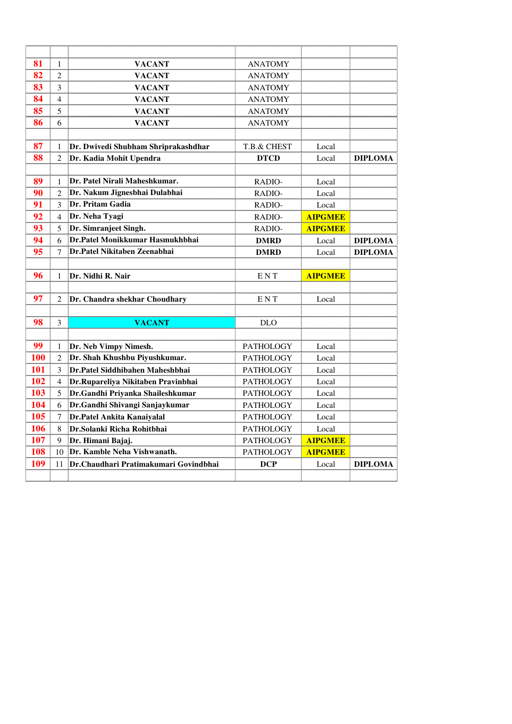| 81         |                | <b>VACANT</b>                                                           | <b>ANATOMY</b>                       |                |                |
|------------|----------------|-------------------------------------------------------------------------|--------------------------------------|----------------|----------------|
| 82         |                | <b>VACANT</b>                                                           | <b>ANATOMY</b>                       |                |                |
| 83         | 3              | <b>VACANT</b>                                                           | <b>ANATOMY</b>                       |                |                |
| 84         | 4              | <b>VACANT</b>                                                           | <b>ANATOMY</b>                       |                |                |
| 85         | 5              | <b>VACANT</b>                                                           | <b>ANATOMY</b>                       |                |                |
| 86         | 6              | <b>VACANT</b>                                                           | <b>ANATOMY</b>                       |                |                |
|            |                |                                                                         |                                      |                |                |
| 87         |                | Dr. Dwivedi Shubham Shriprakashdhar                                     | T.B.& CHEST                          | Local          |                |
| 88         | $\overline{2}$ | <b>Dr. Kadia Mohit Upendra</b>                                          | <b>DTCD</b>                          | Local          | <b>DIPLOMA</b> |
|            |                |                                                                         |                                      |                |                |
| 89         |                | Dr. Patel Nirali Maheshkumar.                                           | RADIO-                               | Local          |                |
| 90         | $\overline{2}$ | Dr. Nakum Jignesbhai Dulabhai                                           | RADIO-                               | Local          |                |
| 91         | 3              | Dr. Pritam Gadia                                                        | RADIO-                               | Local          |                |
| 92         | $\overline{4}$ | Dr. Neha Tyagi                                                          | RADIO-                               | <b>AIPGMEE</b> |                |
| 93         | 5              | Dr. Simranjeet Singh.                                                   | RADIO-                               | <b>AIPGMEE</b> |                |
| 94         | 6              | Dr.Patel Monikkumar Hasmukhbhai                                         | <b>DMRD</b>                          | Local          | <b>DIPLOMA</b> |
| 95         | $\tau$         | Dr.Patel Nikitaben Zeenabhai                                            | <b>DMRD</b>                          | Local          | <b>DIPLOMA</b> |
|            |                |                                                                         |                                      |                |                |
| 96         |                | Dr. Nidhi R. Nair                                                       | ENT                                  | <b>AIPGMEE</b> |                |
|            |                |                                                                         |                                      |                |                |
| 97         | 2              | Dr. Chandra shekhar Choudhary                                           | ENT                                  | Local          |                |
|            |                |                                                                         |                                      |                |                |
| 98         | 3              | <b>VACANT</b>                                                           | <b>DLO</b>                           |                |                |
|            |                |                                                                         |                                      |                |                |
| 99         |                | Dr. Neb Vimpy Nimesh.                                                   | <b>PATHOLOGY</b>                     | Local          |                |
| <b>100</b> | $\overline{2}$ | Dr. Shah Khushbu Piyushkumar.                                           | <b>PATHOLOGY</b>                     | Local          |                |
| 101<br>102 | 3              | Dr.Patel Siddhibahen Maheshbhai                                         | <b>PATHOLOGY</b>                     | Local          |                |
| <b>103</b> | 4              | Dr. Rupareliya Nikitaben Pravinbhai<br>Dr.Gandhi Priyanka Shaileshkumar | <b>PATHOLOGY</b><br><b>PATHOLOGY</b> | Local          |                |
|            | 5              |                                                                         |                                      | Local          |                |
|            |                |                                                                         |                                      |                |                |
| 104        | 6              | Dr.Gandhi Shivangi Sanjaykumar                                          | <b>PATHOLOGY</b>                     | Local          |                |
| <b>105</b> | 7              | Dr.Patel Ankita Kanaiyalal                                              | <b>PATHOLOGY</b>                     | Local          |                |
| 106        | 8              | Dr. Solanki Richa Rohitbhai                                             | PATHOLOGY                            | Local          |                |
| 107        | 9              | Dr. Himani Bajaj.                                                       | <b>PATHOLOGY</b>                     | <b>AIPGMEE</b> |                |
| <b>108</b> | 10             | <b>IDr. Kamble Neha Vishwanath</b>                                      | <b>PATHOLOGY</b>                     | <b>AIPGMEE</b> |                |
| 109        |                | Dr. Chaudhari Pratimakumari Govindbhai                                  | <b>DCP</b>                           | Local          | <b>DIPLOMA</b> |